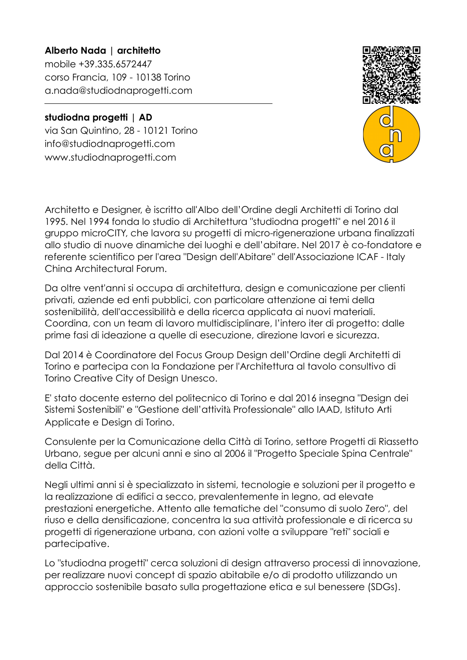**Alberto Nada | architetto**  mobile +39.335.6572447 corso Francia, 109 - 10138 Torino a.nada@studiodnaprogetti.com

## **studiodna progetti | AD**

via San Quintino, 28 - 10121 Torino info@studiodnaprogetti.com www.studiodnaprogetti.com

Architetto e Designer, è iscritto all'Albo dell'Ordine degli Architetti di Torino dal 1995. Nel 1994 fonda lo studio di Architettura "studiodna progetti" e nel 2016 il gruppo microCITY, che lavora su progetti di micro-rigenerazione urbana finalizzati allo studio di nuove dinamiche dei luoghi e dell'abitare. Nel 2017 è co-fondatore e referente scientifico per l'area "Design dell'Abitare" dell'Associazione ICAF - Italy China Architectural Forum.

Da oltre vent'anni si occupa di architettura, design e comunicazione per clienti privati, aziende ed enti pubblici, con particolare attenzione ai temi della sostenibilità, dell'accessibilità e della ricerca applicata ai nuovi materiali. Coordina, con un team di lavoro multidisciplinare, l'intero iter di progetto: dalle prime fasi di ideazione a quelle di esecuzione, direzione lavori e sicurezza.

Dal 2014 è Coordinatore del Focus Group Design dell'Ordine degli Architetti di Torino e partecipa con la Fondazione per l'Architettura al tavolo consultivo di Torino Creative City of Design Unesco.

E' stato docente esterno del politecnico di Torino e dal 2016 insegna "Design dei Sistemi Sostenibili" e "Gestione dell'attività Professionale" allo IAAD, Istituto Arti Applicate e Design di Torino.

Consulente per la Comunicazione della Città di Torino, settore Progetti di Riassetto Urbano, segue per alcuni anni e sino al 2006 il "Progetto Speciale Spina Centrale" della Città.

Negli ultimi anni si è specializzato in sistemi, tecnologie e soluzioni per il progetto e la realizzazione di edifici a secco, prevalentemente in legno, ad elevate prestazioni energetiche. Attento alle tematiche del "consumo di suolo Zero", del riuso e della densificazione, concentra la sua attività professionale e di ricerca su progetti di rigenerazione urbana, con azioni volte a sviluppare "reti" sociali e partecipative.

Lo "studiodna progetti" cerca soluzioni di design attraverso processi di innovazione, per realizzare nuovi concept di spazio abitabile e/o di prodotto utilizzando un approccio sostenibile basato sulla progettazione etica e sul benessere (SDGs).